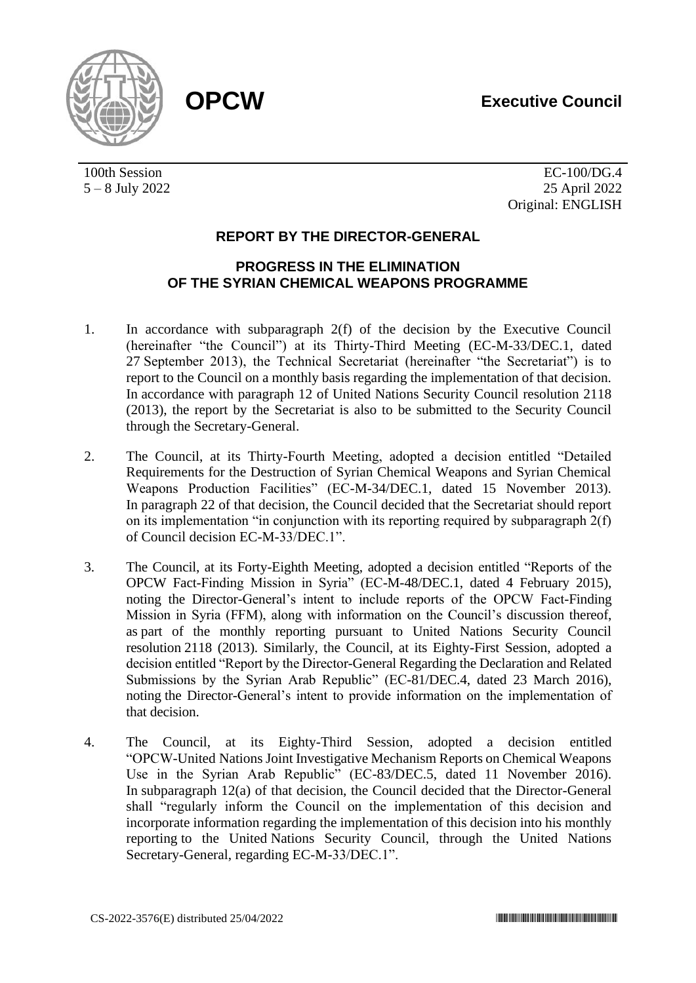# **OPCW Executive Council**



100th Session 5 – 8 July 2022

EC-100/DG.4 25 April 2022 Original: ENGLISH

## **REPORT BY THE DIRECTOR-GENERAL**

## **PROGRESS IN THE ELIMINATION OF THE SYRIAN CHEMICAL WEAPONS PROGRAMME**

- 1. In accordance with subparagraph 2(f) of the decision by the Executive Council (hereinafter "the Council") at its Thirty-Third Meeting (EC-M-33/DEC.1, dated 27 September 2013), the Technical Secretariat (hereinafter "the Secretariat") is to report to the Council on a monthly basis regarding the implementation of that decision. In accordance with paragraph 12 of United Nations Security Council resolution 2118 (2013), the report by the Secretariat is also to be submitted to the Security Council through the Secretary-General.
- 2. The Council, at its Thirty-Fourth Meeting, adopted a decision entitled "Detailed Requirements for the Destruction of Syrian Chemical Weapons and Syrian Chemical Weapons Production Facilities" (EC-M-34/DEC.1, dated 15 November 2013). In paragraph 22 of that decision, the Council decided that the Secretariat should report on its implementation "in conjunction with its reporting required by subparagraph 2(f) of Council decision EC-M-33/DEC.1".
- 3. The Council, at its Forty-Eighth Meeting, adopted a decision entitled "Reports of the OPCW Fact-Finding Mission in Syria" (EC-M-48/DEC.1, dated 4 February 2015), noting the Director-General's intent to include reports of the OPCW Fact-Finding Mission in Syria (FFM), along with information on the Council's discussion thereof, as part of the monthly reporting pursuant to United Nations Security Council resolution 2118 (2013). Similarly, the Council, at its Eighty-First Session, adopted a decision entitled "Report by the Director-General Regarding the Declaration and Related Submissions by the Syrian Arab Republic" (EC-81/DEC.4, dated 23 March 2016), noting the Director-General's intent to provide information on the implementation of that decision.
- 4. The Council, at its Eighty-Third Session, adopted a decision entitled "OPCW-United Nations Joint Investigative Mechanism Reports on Chemical Weapons Use in the Syrian Arab Republic" (EC-83/DEC.5, dated 11 November 2016). In subparagraph 12(a) of that decision, the Council decided that the Director-General shall "regularly inform the Council on the implementation of this decision and incorporate information regarding the implementation of this decision into his monthly reporting to the United Nations Security Council, through the United Nations Secretary-General, regarding EC-M-33/DEC.1".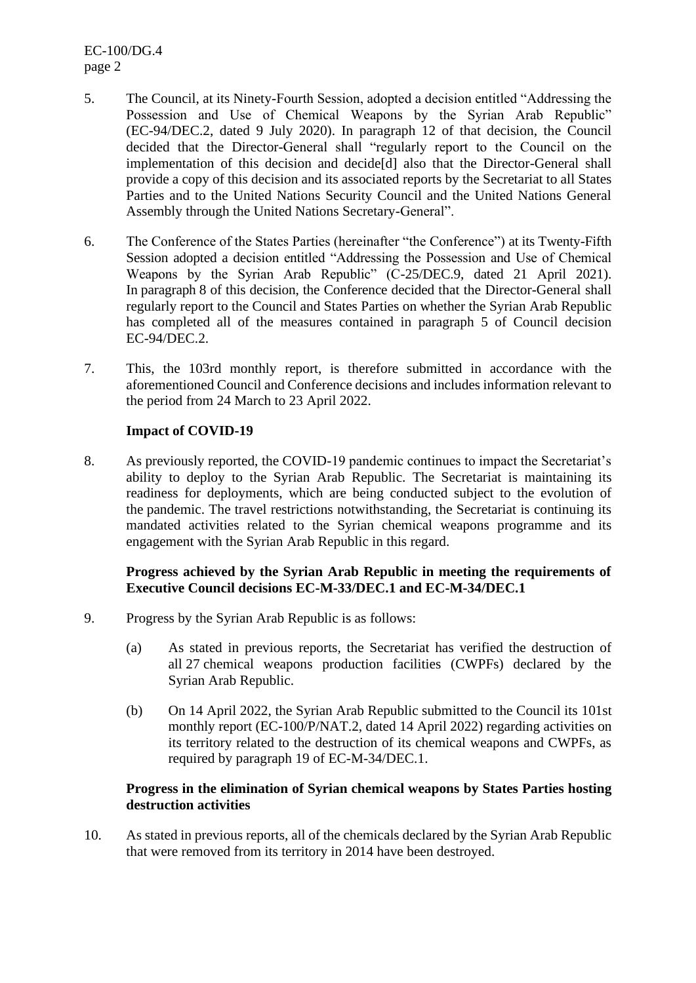EC-100/DG.4 page 2

- 5. The Council, at its Ninety-Fourth Session, adopted a decision entitled "Addressing the Possession and Use of Chemical Weapons by the Syrian Arab Republic" (EC-94/DEC.2, dated 9 July 2020). In paragraph 12 of that decision, the Council decided that the Director-General shall "regularly report to the Council on the implementation of this decision and decide[d] also that the Director-General shall provide a copy of this decision and its associated reports by the Secretariat to all States Parties and to the United Nations Security Council and the United Nations General Assembly through the United Nations Secretary-General".
- 6. The Conference of the States Parties (hereinafter "the Conference") at its Twenty-Fifth Session adopted a decision entitled "Addressing the Possession and Use of Chemical Weapons by the Syrian Arab Republic" (C-25/DEC.9, dated 21 April 2021). In paragraph 8 of this decision, the Conference decided that the Director-General shall regularly report to the Council and States Parties on whether the Syrian Arab Republic has completed all of the measures contained in paragraph 5 of Council decision EC-94/DEC.2.
- 7. This, the 103rd monthly report, is therefore submitted in accordance with the aforementioned Council and Conference decisions and includes information relevant to the period from 24 March to 23 April 2022.

## **Impact of COVID-19**

8. As previously reported, the COVID-19 pandemic continues to impact the Secretariat's ability to deploy to the Syrian Arab Republic. The Secretariat is maintaining its readiness for deployments, which are being conducted subject to the evolution of the pandemic. The travel restrictions notwithstanding, the Secretariat is continuing its mandated activities related to the Syrian chemical weapons programme and its engagement with the Syrian Arab Republic in this regard.

## **Progress achieved by the Syrian Arab Republic in meeting the requirements of Executive Council decisions EC-M-33/DEC.1 and EC-M-34/DEC.1**

- 9. Progress by the Syrian Arab Republic is as follows:
	- (a) As stated in previous reports, the Secretariat has verified the destruction of all 27 chemical weapons production facilities (CWPFs) declared by the Syrian Arab Republic.
	- (b) On 14 April 2022, the Syrian Arab Republic submitted to the Council its 101st monthly report (EC-100/P/NAT.2, dated 14 April 2022) regarding activities on its territory related to the destruction of its chemical weapons and CWPFs, as required by paragraph 19 of EC-M-34/DEC.1.

## **Progress in the elimination of Syrian chemical weapons by States Parties hosting destruction activities**

10. As stated in previous reports, all of the chemicals declared by the Syrian Arab Republic that were removed from its territory in 2014 have been destroyed.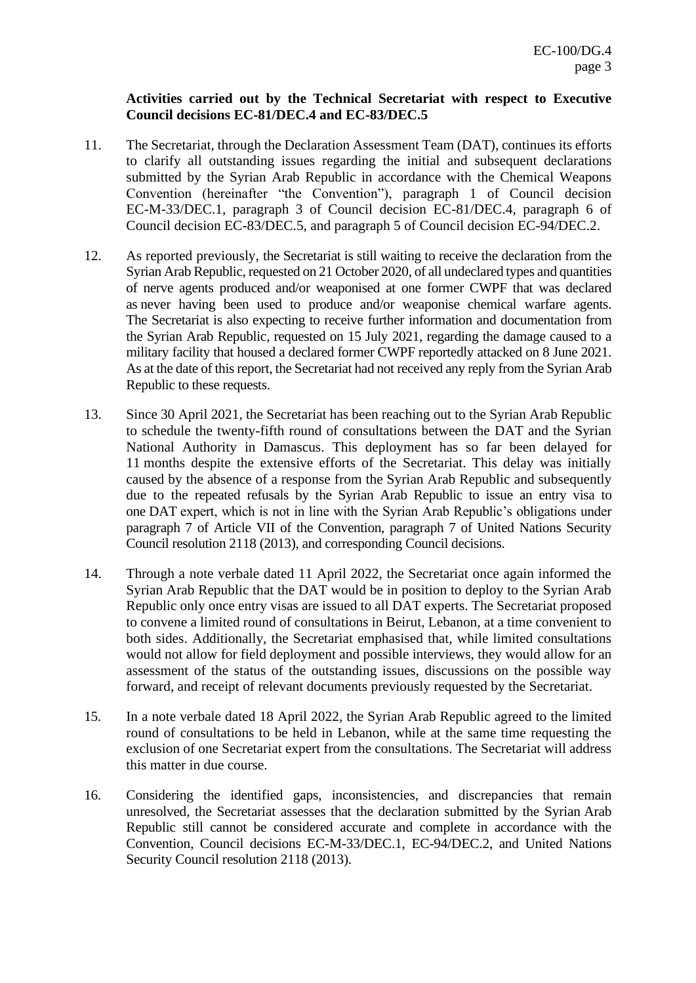## **Activities carried out by the Technical Secretariat with respect to Executive Council decisions EC-81/DEC.4 and EC-83/DEC.5**

- 11. The Secretariat, through the Declaration Assessment Team (DAT), continues its efforts to clarify all outstanding issues regarding the initial and subsequent declarations submitted by the Syrian Arab Republic in accordance with the Chemical Weapons Convention (hereinafter "the Convention"), paragraph 1 of Council decision EC-M-33/DEC.1, paragraph 3 of Council decision EC-81/DEC.4, paragraph 6 of Council decision EC-83/DEC.5, and paragraph 5 of Council decision EC-94/DEC.2.
- 12. As reported previously, the Secretariat is still waiting to receive the declaration from the Syrian Arab Republic, requested on 21 October 2020, of all undeclared types and quantities of nerve agents produced and/or weaponised at one former CWPF that was declared as never having been used to produce and/or weaponise chemical warfare agents. The Secretariat is also expecting to receive further information and documentation from the Syrian Arab Republic, requested on 15 July 2021, regarding the damage caused to a military facility that housed a declared former CWPF reportedly attacked on 8 June 2021. As at the date of this report, the Secretariat had not received any reply from the Syrian Arab Republic to these requests.
- 13. Since 30 April 2021, the Secretariat has been reaching out to the Syrian Arab Republic to schedule the twenty-fifth round of consultations between the DAT and the Syrian National Authority in Damascus. This deployment has so far been delayed for 11 months despite the extensive efforts of the Secretariat. This delay was initially caused by the absence of a response from the Syrian Arab Republic and subsequently due to the repeated refusals by the Syrian Arab Republic to issue an entry visa to one DAT expert, which is not in line with the Syrian Arab Republic's obligations under paragraph 7 of Article VII of the Convention, paragraph 7 of United Nations Security Council resolution 2118 (2013), and corresponding Council decisions.
- 14. Through a note verbale dated 11 April 2022, the Secretariat once again informed the Syrian Arab Republic that the DAT would be in position to deploy to the Syrian Arab Republic only once entry visas are issued to all DAT experts. The Secretariat proposed to convene a limited round of consultations in Beirut, Lebanon, at a time convenient to both sides. Additionally, the Secretariat emphasised that, while limited consultations would not allow for field deployment and possible interviews, they would allow for an assessment of the status of the outstanding issues, discussions on the possible way forward, and receipt of relevant documents previously requested by the Secretariat.
- 15. In a note verbale dated 18 April 2022, the Syrian Arab Republic agreed to the limited round of consultations to be held in Lebanon, while at the same time requesting the exclusion of one Secretariat expert from the consultations. The Secretariat will address this matter in due course.
- 16. Considering the identified gaps, inconsistencies, and discrepancies that remain unresolved, the Secretariat assesses that the declaration submitted by the Syrian Arab Republic still cannot be considered accurate and complete in accordance with the Convention, Council decisions EC-M-33/DEC.1, EC-94/DEC.2, and United Nations Security Council resolution 2118 (2013).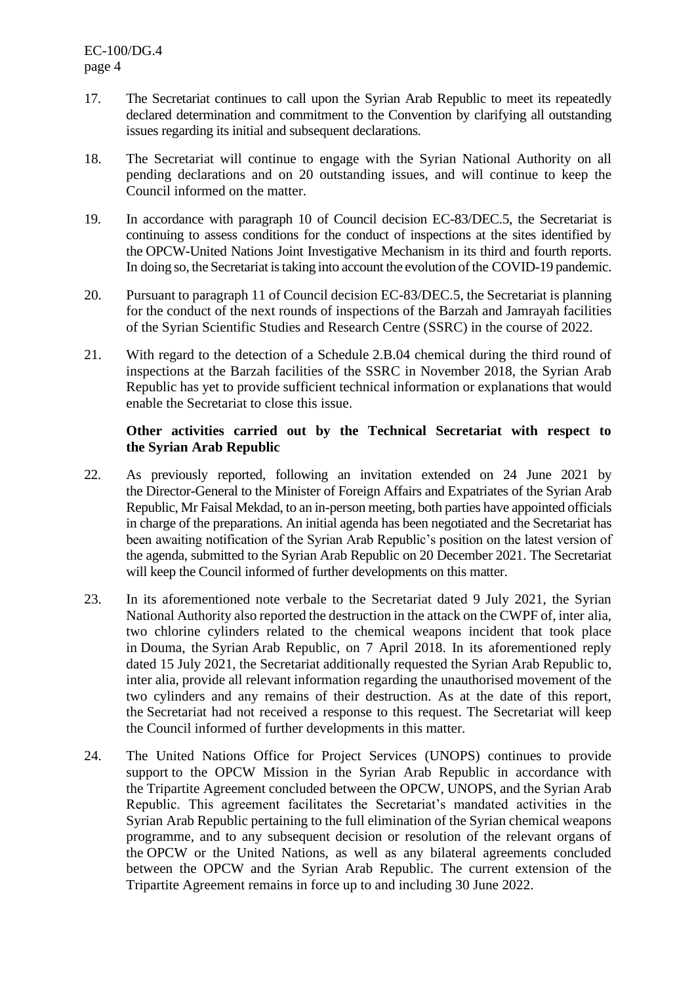- 17. The Secretariat continues to call upon the Syrian Arab Republic to meet its repeatedly declared determination and commitment to the Convention by clarifying all outstanding issues regarding its initial and subsequent declarations.
- 18. The Secretariat will continue to engage with the Syrian National Authority on all pending declarations and on 20 outstanding issues, and will continue to keep the Council informed on the matter.
- 19. In accordance with paragraph 10 of Council decision EC-83/DEC.5, the Secretariat is continuing to assess conditions for the conduct of inspections at the sites identified by the OPCW-United Nations Joint Investigative Mechanism in its third and fourth reports. In doing so, the Secretariat is taking into account the evolution of the COVID-19 pandemic.
- 20. Pursuant to paragraph 11 of Council decision EC-83/DEC.5, the Secretariat is planning for the conduct of the next rounds of inspections of the Barzah and Jamrayah facilities of the Syrian Scientific Studies and Research Centre (SSRC) in the course of 2022.
- 21. With regard to the detection of a Schedule 2.B.04 chemical during the third round of inspections at the Barzah facilities of the SSRC in November 2018, the Syrian Arab Republic has yet to provide sufficient technical information or explanations that would enable the Secretariat to close this issue.

## **Other activities carried out by the Technical Secretariat with respect to the Syrian Arab Republic**

- 22. As previously reported, following an invitation extended on 24 June 2021 by the Director-General to the Minister of Foreign Affairs and Expatriates of the Syrian Arab Republic, Mr Faisal Mekdad, to an in-person meeting, both parties have appointed officials in charge of the preparations. An initial agenda has been negotiated and the Secretariat has been awaiting notification of the Syrian Arab Republic's position on the latest version of the agenda, submitted to the Syrian Arab Republic on 20 December 2021. The Secretariat will keep the Council informed of further developments on this matter.
- 23. In its aforementioned note verbale to the Secretariat dated 9 July 2021, the Syrian National Authority also reported the destruction in the attack on the CWPF of, inter alia, two chlorine cylinders related to the chemical weapons incident that took place in Douma, the Syrian Arab Republic, on 7 April 2018. In its aforementioned reply dated 15 July 2021, the Secretariat additionally requested the Syrian Arab Republic to, inter alia, provide all relevant information regarding the unauthorised movement of the two cylinders and any remains of their destruction. As at the date of this report, the Secretariat had not received a response to this request. The Secretariat will keep the Council informed of further developments in this matter.
- 24. The United Nations Office for Project Services (UNOPS) continues to provide support to the OPCW Mission in the Syrian Arab Republic in accordance with the Tripartite Agreement concluded between the OPCW, UNOPS, and the Syrian Arab Republic. This agreement facilitates the Secretariat's mandated activities in the Syrian Arab Republic pertaining to the full elimination of the Syrian chemical weapons programme, and to any subsequent decision or resolution of the relevant organs of the OPCW or the United Nations, as well as any bilateral agreements concluded between the OPCW and the Syrian Arab Republic. The current extension of the Tripartite Agreement remains in force up to and including 30 June 2022.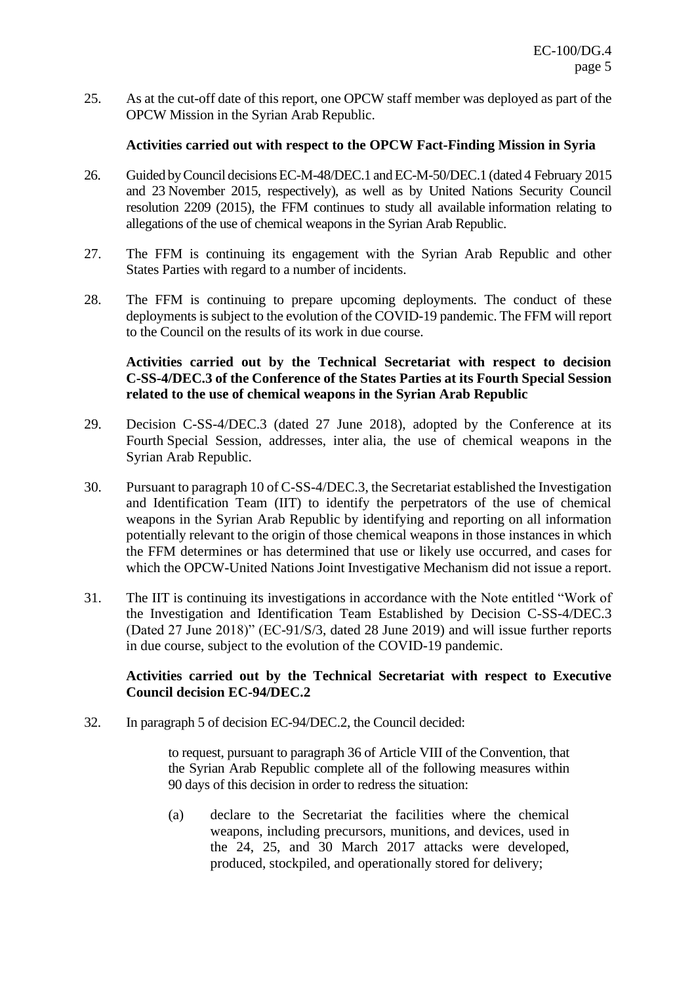25. As at the cut-off date of this report, one OPCW staff member was deployed as part of the OPCW Mission in the Syrian Arab Republic.

#### **Activities carried out with respect to the OPCW Fact-Finding Mission in Syria**

- 26. Guided by Council decisions EC-M-48/DEC.1 and EC-M-50/DEC.1 (dated 4 February 2015 and 23 November 2015, respectively), as well as by United Nations Security Council resolution 2209 (2015), the FFM continues to study all available information relating to allegations of the use of chemical weapons in the Syrian Arab Republic.
- 27. The FFM is continuing its engagement with the Syrian Arab Republic and other States Parties with regard to a number of incidents.
- 28. The FFM is continuing to prepare upcoming deployments. The conduct of these deployments is subject to the evolution of the COVID-19 pandemic. The FFM will report to the Council on the results of its work in due course.

## **Activities carried out by the Technical Secretariat with respect to decision C-SS-4/DEC.3 of the Conference of the States Parties at its Fourth Special Session related to the use of chemical weapons in the Syrian Arab Republic**

- 29. Decision C-SS-4/DEC.3 (dated 27 June 2018), adopted by the Conference at its Fourth Special Session, addresses, inter alia, the use of chemical weapons in the Syrian Arab Republic.
- 30. Pursuant to paragraph 10 of C-SS-4/DEC.3, the Secretariat established the Investigation and Identification Team (IIT) to identify the perpetrators of the use of chemical weapons in the Syrian Arab Republic by identifying and reporting on all information potentially relevant to the origin of those chemical weapons in those instances in which the FFM determines or has determined that use or likely use occurred, and cases for which the OPCW-United Nations Joint Investigative Mechanism did not issue a report.
- 31. The IIT is continuing its investigations in accordance with the Note entitled "Work of the Investigation and Identification Team Established by Decision C-SS-4/DEC.3 (Dated 27 June 2018)" (EC-91/S/3, dated 28 June 2019) and will issue further reports in due course, subject to the evolution of the COVID-19 pandemic.

## **Activities carried out by the Technical Secretariat with respect to Executive Council decision EC-94/DEC.2**

32. In paragraph 5 of decision EC-94/DEC.2, the Council decided:

to request, pursuant to paragraph 36 of Article VIII of the Convention, that the Syrian Arab Republic complete all of the following measures within 90 days of this decision in order to redress the situation:

(a) declare to the Secretariat the facilities where the chemical weapons, including precursors, munitions, and devices, used in the 24, 25, and 30 March 2017 attacks were developed, produced, stockpiled, and operationally stored for delivery;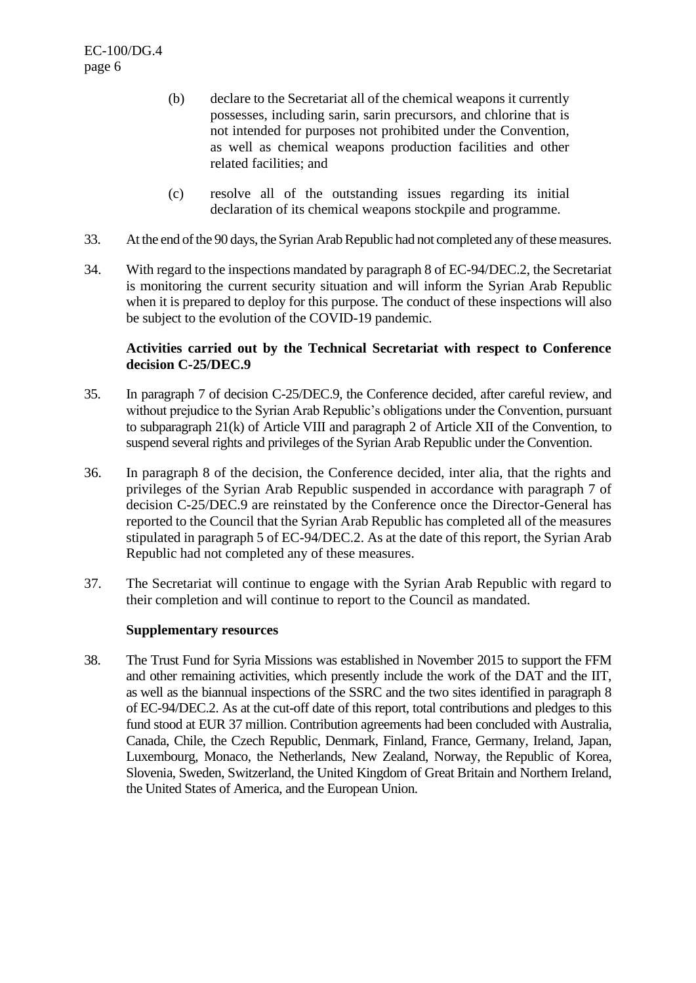- (b) declare to the Secretariat all of the chemical weapons it currently possesses, including sarin, sarin precursors, and chlorine that is not intended for purposes not prohibited under the Convention, as well as chemical weapons production facilities and other related facilities; and
- (c) resolve all of the outstanding issues regarding its initial declaration of its chemical weapons stockpile and programme.
- 33. At the end of the 90 days, the Syrian Arab Republic had not completed any of these measures.
- 34. With regard to the inspections mandated by paragraph 8 of EC-94/DEC.2, the Secretariat is monitoring the current security situation and will inform the Syrian Arab Republic when it is prepared to deploy for this purpose. The conduct of these inspections will also be subject to the evolution of the COVID-19 pandemic.

## **Activities carried out by the Technical Secretariat with respect to Conference decision C-25/DEC.9**

- 35. In paragraph 7 of decision C-25/DEC.9, the Conference decided, after careful review, and without prejudice to the Syrian Arab Republic's obligations under the Convention, pursuant to subparagraph 21(k) of Article VIII and paragraph 2 of Article XII of the Convention, to suspend several rights and privileges of the Syrian Arab Republic under the Convention.
- 36. In paragraph 8 of the decision, the Conference decided, inter alia, that the rights and privileges of the Syrian Arab Republic suspended in accordance with paragraph 7 of decision C-25/DEC.9 are reinstated by the Conference once the Director-General has reported to the Council that the Syrian Arab Republic has completed all of the measures stipulated in paragraph 5 of EC-94/DEC.2. As at the date of this report, the Syrian Arab Republic had not completed any of these measures.
- 37. The Secretariat will continue to engage with the Syrian Arab Republic with regard to their completion and will continue to report to the Council as mandated.

#### **Supplementary resources**

38. The Trust Fund for Syria Missions was established in November 2015 to support the FFM and other remaining activities, which presently include the work of the DAT and the IIT, as well as the biannual inspections of the SSRC and the two sites identified in paragraph 8 of EC-94/DEC.2. As at the cut-off date of this report, total contributions and pledges to this fund stood at EUR 37 million. Contribution agreements had been concluded with Australia, Canada, Chile, the Czech Republic, Denmark, Finland, France, Germany, Ireland, Japan, Luxembourg, Monaco, the Netherlands, New Zealand, Norway, the Republic of Korea, Slovenia, Sweden, Switzerland, the United Kingdom of Great Britain and Northern Ireland, the United States of America, and the European Union.